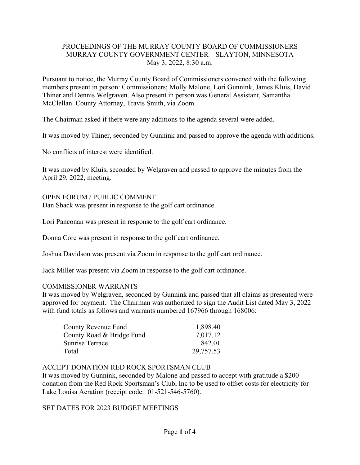### PROCEEDINGS OF THE MURRAY COUNTY BOARD OF COMMISSIONERS MURRAY COUNTY GOVERNMENT CENTER – SLAYTON, MINNESOTA May 3, 2022, 8:30 a.m.

Pursuant to notice, the Murray County Board of Commissioners convened with the following members present in person: Commissioners; Molly Malone, Lori Gunnink, James Kluis, David Thiner and Dennis Welgraven. Also present in person was General Assistant, Samantha McClellan. County Attorney, Travis Smith, via Zoom.

The Chairman asked if there were any additions to the agenda several were added.

It was moved by Thiner, seconded by Gunnink and passed to approve the agenda with additions.

No conflicts of interest were identified.

It was moved by Kluis, seconded by Welgraven and passed to approve the minutes from the April 29, 2022, meeting.

#### OPEN FORUM / PUBLIC COMMENT

Dan Shack was present in response to the golf cart ordinance.

Lori Panconan was present in response to the golf cart ordinance.

Donna Core was present in response to the golf cart ordinance.

Joshua Davidson was present via Zoom in response to the golf cart ordinance.

Jack Miller was present via Zoom in response to the golf cart ordinance.

#### COMMISSIONER WARRANTS

It was moved by Welgraven, seconded by Gunnink and passed that all claims as presented were approved for payment. The Chairman was authorized to sign the Audit List dated May 3, 2022 with fund totals as follows and warrants numbered 167966 through 168006:

| County Revenue Fund       | 11,898.40 |
|---------------------------|-----------|
| County Road & Bridge Fund | 17,017.12 |
| Sunrise Terrace           | 842.01    |
| Total                     | 29,757.53 |

#### ACCEPT DONATION-RED ROCK SPORTSMAN CLUB

It was moved by Gunnink, seconded by Malone and passed to accept with gratitude a \$200 donation from the Red Rock Sportsman's Club, Inc to be used to offset costs for electricity for Lake Louisa Aeration (receipt code: 01-521-546-5760).

### SET DATES FOR 2023 BUDGET MEETINGS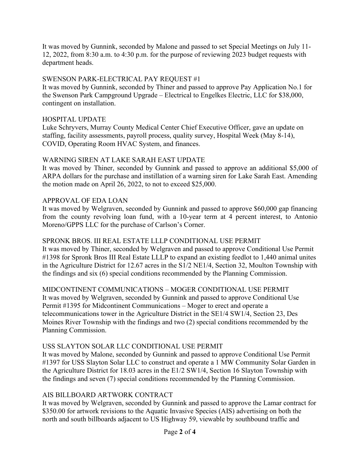It was moved by Gunnink, seconded by Malone and passed to set Special Meetings on July 11- 12, 2022, from 8:30 a.m. to 4:30 p.m. for the purpose of reviewing 2023 budget requests with department heads.

## SWENSON PARK-ELECTRICAL PAY REQUEST #1

It was moved by Gunnink, seconded by Thiner and passed to approve Pay Application No.1 for the Swenson Park Campground Upgrade – Electrical to Engelkes Electric, LLC for \$38,000, contingent on installation.

### HOSPITAL UPDATE

Luke Schryvers, Murray County Medical Center Chief Executive Officer, gave an update on staffing, facility assessments, payroll process, quality survey, Hospital Week (May 8-14), COVID, Operating Room HVAC System, and finances.

## WARNING SIREN AT LAKE SARAH EAST UPDATE

It was moved by Thiner, seconded by Gunnink and passed to approve an additional \$5,000 of ARPA dollars for the purchase and instillation of a warning siren for Lake Sarah East. Amending the motion made on April 26, 2022, to not to exceed \$25,000.

## APPROVAL OF EDA LOAN

It was moved by Welgraven, seconded by Gunnink and passed to approve \$60,000 gap financing from the county revolving loan fund, with a 10-year term at 4 percent interest, to Antonio Moreno/GPPS LLC for the purchase of Carlson's Corner.

### SPRONK BROS. III REAL ESTATE LLLP CONDITIONAL USE PERMIT

It was moved by Thiner, seconded by Welgraven and passed to approve Conditional Use Permit #1398 for Spronk Bros III Real Estate LLLP to expand an existing feedlot to 1,440 animal unites in the Agriculture District for 12.67 acres in the S1/2 NE1/4, Section 32, Moulton Township with the findings and six (6) special conditions recommended by the Planning Commission.

MIDCONTINENT COMMUNICATIONS – MOGER CONDITIONAL USE PERMIT It was moved by Welgraven, seconded by Gunnink and passed to approve Conditional Use Permit #1395 for Midcontinent Communications – Moger to erect and operate a telecommunications tower in the Agriculture District in the SE1/4 SW1/4, Section 23, Des Moines River Township with the findings and two (2) special conditions recommended by the Planning Commission.

### USS SLAYTON SOLAR LLC CONDITIONAL USE PERMIT

It was moved by Malone, seconded by Gunnink and passed to approve Conditional Use Permit #1397 for USS Slayton Solar LLC to construct and operate a 1 MW Community Solar Garden in the Agriculture District for 18.03 acres in the E1/2 SW1/4, Section 16 Slayton Township with the findings and seven (7) special conditions recommended by the Planning Commission.

# AIS BILLBOARD ARTWORK CONTRACT

It was moved by Welgraven, seconded by Gunnink and passed to approve the Lamar contract for \$350.00 for artwork revisions to the Aquatic Invasive Species (AIS) advertising on both the north and south billboards adjacent to US Highway 59, viewable by southbound traffic and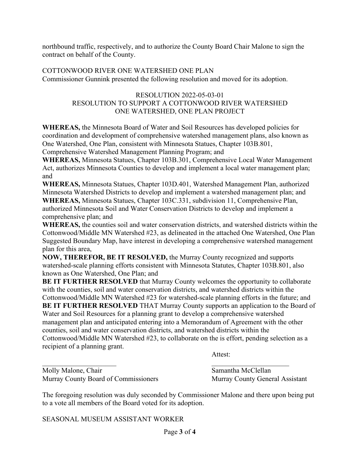northbound traffic, respectively, and to authorize the County Board Chair Malone to sign the contract on behalf of the County.

COTTONWOOD RIVER ONE WATERSHED ONE PLAN Commissioner Gunnink presented the following resolution and moved for its adoption.

### RESOLUTION 2022-05-03-01 RESOLUTION TO SUPPORT A COTTONWOOD RIVER WATERSHED ONE WATERSHED, ONE PLAN PROJECT

**WHEREAS,** the Minnesota Board of Water and Soil Resources has developed policies for coordination and development of comprehensive watershed management plans, also known as One Watershed, One Plan, consistent with Minnesota Statues, Chapter 103B.801, Comprehensive Watershed Management Planning Program; and

**WHEREAS,** Minnesota Statues, Chapter 103B.301, Comprehensive Local Water Management Act, authorizes Minnesota Counties to develop and implement a local water management plan; and

**WHEREAS,** Minnesota Statues, Chapter 103D.401, Watershed Management Plan, authorized Minnesota Watershed Districts to develop and implement a watershed management plan; and **WHEREAS,** Minnesota Statues, Chapter 103C.331, subdivision 11, Comprehensive Plan, authorized Minnesota Soil and Water Conservation Districts to develop and implement a comprehensive plan; and

**WHEREAS,** the counties soil and water conservation districts, and watershed districts within the Cottonwood/Middle MN Watershed #23, as delineated in the attached One Watershed, One Plan Suggested Boundary Map, have interest in developing a comprehensive watershed management plan for this area,

**NOW, THEREFOR, BE IT RESOLVED,** the Murray County recognized and supports watershed-scale planning efforts consistent with Minnesota Statutes, Chapter 103B.801, also known as One Watershed, One Plan; and

**BE IT FURTHER RESOLVED** that Murray County welcomes the opportunity to collaborate with the counties, soil and water conservation districts, and watershed districts within the Cottonwood/Middle MN Watershed #23 for watershed-scale planning efforts in the future; and

**BE IT FURTHER RESOLVED** THAT Murray County supports an application to the Board of Water and Soil Resources for a planning grant to develop a comprehensive watershed management plan and anticipated entering into a Memorandum of Agreement with the other counties, soil and water conservation districts, and watershed districts within the Cottonwood/Middle MN Watershed #23, to collaborate on the is effort, pending selection as a recipient of a planning grant.

Attest:

 $\overline{\phantom{a}}$  , and the contract of the contract of the contract of the contract of the contract of the contract of the contract of the contract of the contract of the contract of the contract of the contract of the contrac Molly Malone, Chair Samantha McClellan Murray County Board of Commissioners Murray County General Assistant

The foregoing resolution was duly seconded by Commissioner Malone and there upon being put to a vote all members of the Board voted for its adoption.

SEASONAL MUSEUM ASSISTANT WORKER